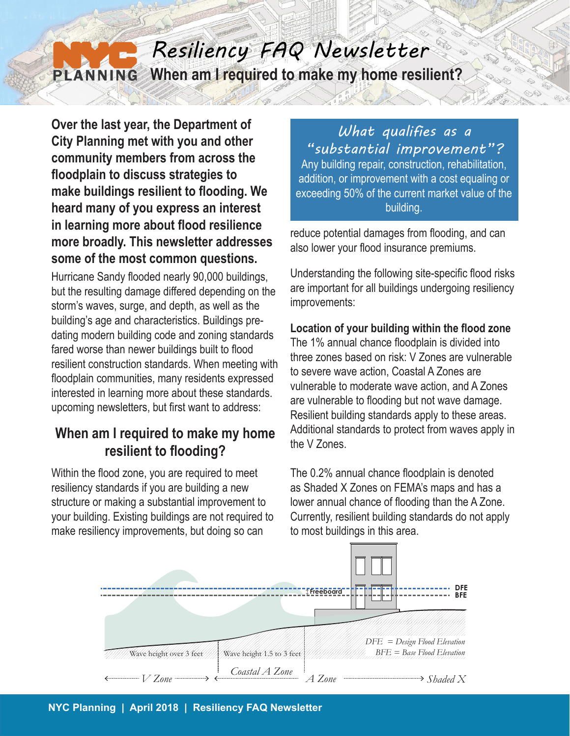## *Resiliency FAQ Newsletter* **When am I required to make my home resilient?** PLANNING

**Over the last year, the Department of City Planning met with you and other community members from across the floodplain to discuss strategies to make buildings resilient to flooding. We heard many of you express an interest in learning more about flood resilience more broadly. This newsletter addresses some of the most common questions.**

Hurricane Sandy flooded nearly 90,000 buildings, but the resulting damage differed depending on the storm's waves, surge, and depth, as well as the building's age and characteristics. Buildings predating modern building code and zoning standards fared worse than newer buildings built to flood resilient construction standards. When meeting with floodplain communities, many residents expressed interested in learning more about these standards. upcoming newsletters, but first want to address:

## **When am I required to make my home resilient to flooding?**

Within the flood zone, you are required to meet resiliency standards if you are building a new structure or making a substantial improvement to your building. Existing buildings are not required to make resiliency improvements, but doing so can

*What qualifies as a "substantial improvement"?* Any building repair, construction, rehabilitation, addition, or improvement with a cost equaling or exceeding 50% of the current market value of the building.

reduce potential damages from flooding, and can also lower your flood insurance premiums.

Understanding the following site-specific flood risks are important for all buildings undergoing resiliency improvements:

## **Location of your building within the flood zone**

The 1% annual chance floodplain is divided into three zones based on risk: V Zones are vulnerable to severe wave action, Coastal A Zones are vulnerable to moderate wave action, and A Zones are vulnerable to flooding but not wave damage. Resilient building standards apply to these areas. Additional standards to protect from waves apply in the V Zones.

The 0.2% annual chance floodplain is denoted as Shaded X Zones on FEMA's maps and has a lower annual chance of flooding than the A Zone. Currently, resilient building standards do not apply to most buildings in this area.